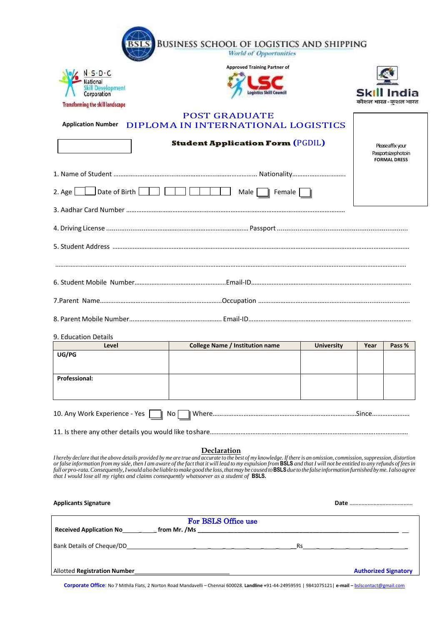|                                                                                                  | <b>BUSINESS SCHOOL OF LOGISTICS AND SHIPPING</b><br><b>World of Opportunities</b>                                                                                                                                                                                                                                                                                                                                                                                                                                                                  |                   |                                                                 |                     |  |
|--------------------------------------------------------------------------------------------------|----------------------------------------------------------------------------------------------------------------------------------------------------------------------------------------------------------------------------------------------------------------------------------------------------------------------------------------------------------------------------------------------------------------------------------------------------------------------------------------------------------------------------------------------------|-------------------|-----------------------------------------------------------------|---------------------|--|
|                                                                                                  | <b>Approved Training Partner of</b>                                                                                                                                                                                                                                                                                                                                                                                                                                                                                                                |                   |                                                                 |                     |  |
| $\cdot$ S $\cdot$ D $\cdot$ C<br>Vational                                                        |                                                                                                                                                                                                                                                                                                                                                                                                                                                                                                                                                    |                   |                                                                 |                     |  |
| kill Development<br>Corporation                                                                  |                                                                                                                                                                                                                                                                                                                                                                                                                                                                                                                                                    |                   |                                                                 | Skill India         |  |
| <b>Transforming the skill landscape</b>                                                          |                                                                                                                                                                                                                                                                                                                                                                                                                                                                                                                                                    |                   |                                                                 | कौशल भारत-कुशल भारत |  |
|                                                                                                  | <b>POST GRADUATE</b><br>Application Number DIPLOMA IN INTERNATIONAL LOGISTICS                                                                                                                                                                                                                                                                                                                                                                                                                                                                      |                   |                                                                 |                     |  |
|                                                                                                  | <b>Student Application Form (PGDIL)</b>                                                                                                                                                                                                                                                                                                                                                                                                                                                                                                            |                   | Please affix your<br>Passportsizephotoin<br><b>FORMAL DRESS</b> |                     |  |
|                                                                                                  |                                                                                                                                                                                                                                                                                                                                                                                                                                                                                                                                                    |                   |                                                                 |                     |  |
| Date of Birth $\boxed{\phantom{a} \phantom{a}}$<br>2. Age L                                      | $\Box$ $\Box$ $\Box$<br>Male   Female                                                                                                                                                                                                                                                                                                                                                                                                                                                                                                              |                   |                                                                 |                     |  |
|                                                                                                  |                                                                                                                                                                                                                                                                                                                                                                                                                                                                                                                                                    |                   |                                                                 |                     |  |
|                                                                                                  |                                                                                                                                                                                                                                                                                                                                                                                                                                                                                                                                                    |                   |                                                                 |                     |  |
|                                                                                                  |                                                                                                                                                                                                                                                                                                                                                                                                                                                                                                                                                    |                   |                                                                 |                     |  |
|                                                                                                  |                                                                                                                                                                                                                                                                                                                                                                                                                                                                                                                                                    |                   |                                                                 |                     |  |
|                                                                                                  |                                                                                                                                                                                                                                                                                                                                                                                                                                                                                                                                                    |                   |                                                                 |                     |  |
|                                                                                                  |                                                                                                                                                                                                                                                                                                                                                                                                                                                                                                                                                    |                   |                                                                 |                     |  |
|                                                                                                  |                                                                                                                                                                                                                                                                                                                                                                                                                                                                                                                                                    |                   |                                                                 |                     |  |
| 9. Education Details                                                                             |                                                                                                                                                                                                                                                                                                                                                                                                                                                                                                                                                    |                   |                                                                 |                     |  |
| Level                                                                                            | <b>College Name / Institution name</b>                                                                                                                                                                                                                                                                                                                                                                                                                                                                                                             | <b>University</b> | Year                                                            | Pass %              |  |
| UG/PG                                                                                            |                                                                                                                                                                                                                                                                                                                                                                                                                                                                                                                                                    |                   |                                                                 |                     |  |
| <b>Professional:</b>                                                                             |                                                                                                                                                                                                                                                                                                                                                                                                                                                                                                                                                    |                   |                                                                 |                     |  |
| 10. Any Work Experience - Yes                                                                    | No                                                                                                                                                                                                                                                                                                                                                                                                                                                                                                                                                 |                   |                                                                 |                     |  |
|                                                                                                  |                                                                                                                                                                                                                                                                                                                                                                                                                                                                                                                                                    |                   |                                                                 |                     |  |
| that I would lose all my rights and claims consequently whatsoever as a student of <b>BSLS</b> . | Declaration<br>I hereby declare that the above details provided by me are true and accurate to the best of my knowledge. If there is an omission, commission, suppression, distortion<br>or false information from my side, then I am aware of the fact that it will lead to my expulsion from <b>BSLS</b> and that I will not be entitled to any refunds of fees in<br>full or pro-rata. Consequently, I would also be liable to make good the loss, that may be caused to <b>BSLS</b> due to the false information furnished by me. I also agree |                   |                                                                 |                     |  |
| <b>Applicants Signature</b>                                                                      |                                                                                                                                                                                                                                                                                                                                                                                                                                                                                                                                                    |                   |                                                                 |                     |  |
| <b>Received Annlication No</b>                                                                   | For BSLS Office use<br>from Mr. /Ms                                                                                                                                                                                                                                                                                                                                                                                                                                                                                                                |                   |                                                                 |                     |  |

| from Mr. /Ms<br><b>Received Application No</b> |    |                             |
|------------------------------------------------|----|-----------------------------|
| Bank Details of Cheque/DD                      | Rs |                             |
| <b>Allotted Registration Number</b>            |    | <b>Authorized Signatory</b> |

**Corporate Office:** No 7 Mithila Flats, 2 Norton Road Mandavelli – Chennai 600028. **Landline +**91-44-24959591 | 9841075121| **e-mail –** [bslscontact@gmail.com](mailto:bslscontact@gmail.com)